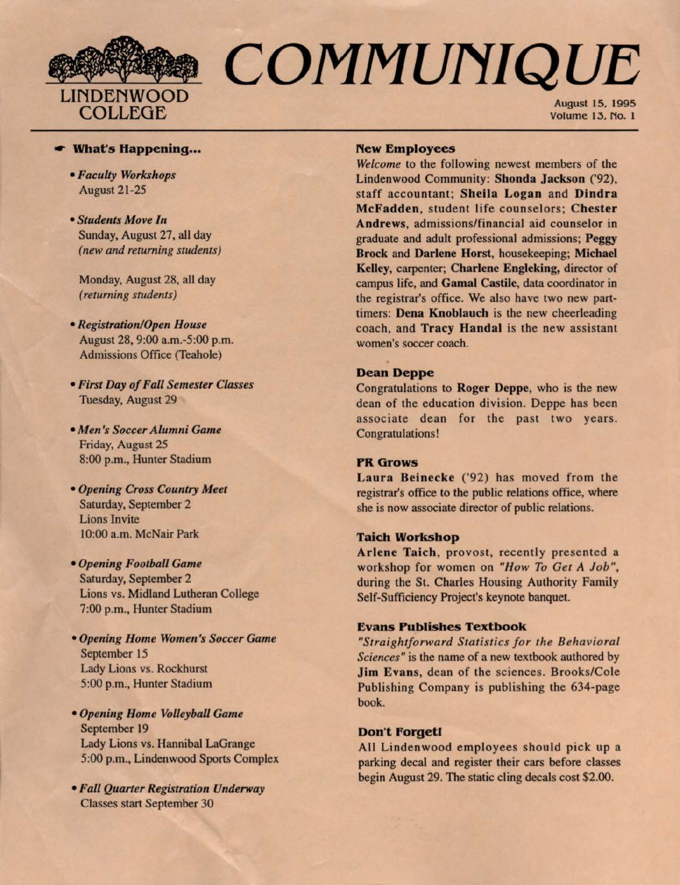

# COMMUNIQUE

August 15, 1995 Volume 13, No. l

# .- **What's Happening ..•**

- *Faculty Workshops*  August 21-25
- *Students Move In*  Sunday, August 27, all day *(new and returning students)*

Monday, August 28, all day *(returning students)* 

- *Registration/Open House*  August 28, 9:00 a.m.-5:00 p.m. Admissions Office (Teahole)
- *First Day of Fall Semester Classes*  Tuesday, August 29
- *• Men's Soccer Alumni Game*  Friday, August 25 8:00 p.m., Hunter Stadium
- *Opening Cross Country Meet*  Saturday, September 2 Lions Invite 10:00 a.m. McNair Park
- *Openitig Football Game*  Saturday, September 2 Lions vs. Midland Lutheran College 7:00 p.m., Hunter Stadium
- *Opening Home Women's Soccer Game*  September 15 Lady Lions vs. Rockhurst 5:00 p.m., Hunter Stadium
- *Opening Home Volleyball Game*  September 19 Lady Lions vs. Hannibal LaGrange 5:00 p.m., Lindenwood Sports Complex
- *Fall Quarter Registration Underway*  Classes start September 30

### **New Employees**

*Welcome* to the following newest members of the Lindenwood Community: **Shonda Jackson** ('92), staff accountant; **Sheila Logan** and **Dindra McFadden,** student life counselors; **Chester Andrews,** admissions/financial aid counselor in graduate and adult professional admissions; **Peggy Brock** and **Darlene Horst,** housekeeping; **Michael Kelley,** carpenter; **Charlene Engleking,** director of campus life, and **Gamal Castile,** data coordinator in the registrar's office. We also have two new parttimers: **Dena Knoblauch** is the new cheerleading coach, and **Tracy Handal** is the new assistant women's soccer coach.

# **Dean Deppe**

Congratulations to **Roger Deppe,** who is the new dean of the education division. Deppe has been associate dean for the past two years. Congratulations!

# **PR** Grows

**Laura Beinecke** ('92) has moved from the registrar's office to the public relations office, where she is now associate director of public relations.

# **Taich Workshop**

Arlene Taich, provost, recently presented a workshop for women on *"How To Get A Job",*  during the St. Charles Housing Authority Family Self-Sufficiency Project's keynote banquet.

# **Evans Publishes Textbook**

*"Straightforward Statistics for the Behavioral Sciences"* is the name of a new textbook authored by **Jim Evans,** dean of the sciences. Brooks/Cole Publishing Company is publishing the 634-page book.

### Don't Forget!

All Lindenwood employees should pick up a parking decal and register their cars before classes begin August 29. The static cling decals cost \$2.00.